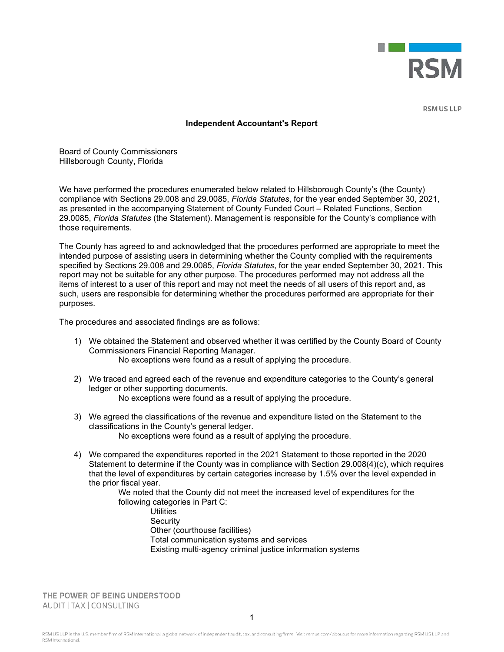

**RSM US LLP** 

## **Independent Accountant's Report**

Board of County Commissioners Hillsborough County, Florida

We have performed the procedures enumerated below related to Hillsborough County's (the County) compliance with Sections 29.008 and 29.0085, *Florida Statutes*, for the year ended September 30, 2021, as presented in the accompanying Statement of County Funded Court – Related Functions, Section 29.0085, *Florida Statutes* (the Statement). Management is responsible for the County's compliance with those requirements.

The County has agreed to and acknowledged that the procedures performed are appropriate to meet the intended purpose of assisting users in determining whether the County complied with the requirements specified by Sections 29.008 and 29.0085, *Florida Statutes*, for the year ended September 30, 2021. This report may not be suitable for any other purpose. The procedures performed may not address all the items of interest to a user of this report and may not meet the needs of all users of this report and, as such, users are responsible for determining whether the procedures performed are appropriate for their purposes.

The procedures and associated findings are as follows:

1) We obtained the Statement and observed whether it was certified by the County Board of County Commissioners Financial Reporting Manager.

No exceptions were found as a result of applying the procedure.

- 2) We traced and agreed each of the revenue and expenditure categories to the County's general ledger or other supporting documents. No exceptions were found as a result of applying the procedure.
- 3) We agreed the classifications of the revenue and expenditure listed on the Statement to the classifications in the County's general ledger. No exceptions were found as a result of applying the procedure.
- 4) We compared the expenditures reported in the 2021 Statement to those reported in the 2020 Statement to determine if the County was in compliance with Section 29.008(4)(c), which requires that the level of expenditures by certain categories increase by 1.5% over the level expended in the prior fiscal year.

We noted that the County did not meet the increased level of expenditures for the following categories in Part C:

**Utilities Security** Other (courthouse facilities) Total communication systems and services Existing multi-agency criminal justice information systems

THE POWER OF BEING UNDERSTOOD AUDIT | TAX | CONSULTING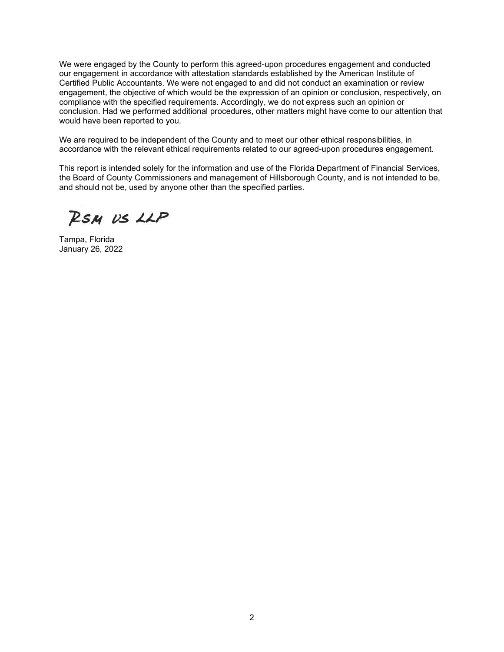We were engaged by the County to perform this agreed-upon procedures engagement and conducted our engagement in accordance with attestation standards established by the American Institute of Certified Public Accountants. We were not engaged to and did not conduct an examination or review engagement, the objective of which would be the expression of an opinion or conclusion, respectively, on compliance with the specified requirements. Accordingly, we do not express such an opinion or conclusion. Had we performed additional procedures, other matters might have come to our attention that would have been reported to you.

We are required to be independent of the County and to meet our other ethical responsibilities, in accordance with the relevant ethical requirements related to our agreed-upon procedures engagement.

This report is intended solely for the information and use of the Florida Department of Financial Services, the Board of County Commissioners and management of Hillsborough County, and is not intended to be, and should not be, used by anyone other than the specified parties.

RSM US LLP

Tampa, Florida January 26, 2022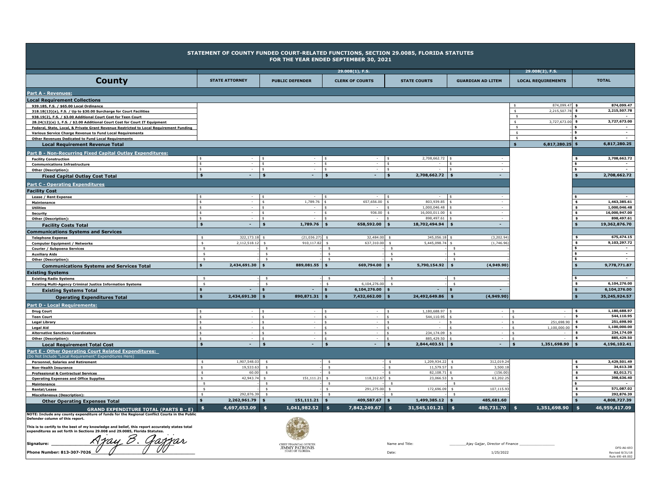| <b>County</b>                                                                                                                                                                 | <b>STATE ATTORNEY</b>                             |                              | <b>PUBLIC DEFENDER</b>                    | $29.008(1)$ , F.S.<br><b>CLERK OF COURTS</b> |                                | <b>STATE COURTS</b>                     | <b>GUARDIAN AD LITEM</b>         | 29.008(2), F.S.<br><b>LOCAL REQUIREMENTS</b> |                                    | <b>TOTAL</b>                             |
|-------------------------------------------------------------------------------------------------------------------------------------------------------------------------------|---------------------------------------------------|------------------------------|-------------------------------------------|----------------------------------------------|--------------------------------|-----------------------------------------|----------------------------------|----------------------------------------------|------------------------------------|------------------------------------------|
|                                                                                                                                                                               |                                                   |                              |                                           |                                              |                                |                                         |                                  |                                              |                                    |                                          |
| Part A - Revenues:                                                                                                                                                            |                                                   |                              |                                           |                                              |                                |                                         |                                  |                                              |                                    |                                          |
| <b>Local Requirement Collections</b><br>939.185, F.S. / \$65.00 Local Ordinance                                                                                               |                                                   |                              |                                           |                                              |                                |                                         |                                  | 874,099.47 \$<br>s.                          |                                    | 874,099.47                               |
| 318.18(13)(a), F.S. / Up to \$30.00 Surcharge for Court Facilities                                                                                                            |                                                   |                              |                                           |                                              |                                |                                         |                                  | 2,215,507.78<br>-S                           | $\mathbf{s}$                       | 2,215,507.78                             |
| 938.19(2), F.S. / \$3.00 Additional Court Cost for Teen Court                                                                                                                 |                                                   |                              |                                           |                                              |                                |                                         |                                  | \$                                           | \$                                 | $\sim$                                   |
| 28.24(12)(e) 1, F.S. / \$2.00 Additional Court Cost for Court IT Equipment                                                                                                    |                                                   |                              |                                           |                                              |                                |                                         |                                  | 3,727,673.00<br>-S<br>\$                     | - \$                               | 3,727,673.00                             |
| Federal, State, Local, & Private Grant Revenue Restricted to Local Requirement Funding<br>Various Service Charge Revenue to Fund Local Requirements                           |                                                   |                              |                                           |                                              |                                |                                         |                                  | s.                                           | $\mathbf{s}$                       |                                          |
| <b>Other Revenues Dedicated to Fund Local Requirements</b>                                                                                                                    |                                                   |                              |                                           |                                              |                                |                                         |                                  | $\mathsf{s}$                                 | $\mathbf{s}$                       |                                          |
| <b>Local Requirement Revenue Total</b>                                                                                                                                        |                                                   |                              |                                           |                                              |                                |                                         |                                  | 6,817,280.25 \$<br>$\mathbf{s}$              |                                    | 6.817.280.25                             |
| Part B - Non-Recurring Fixed Capital Outlay Expenditures:                                                                                                                     |                                                   |                              |                                           |                                              |                                |                                         |                                  |                                              |                                    |                                          |
| <b>Facility Construction</b>                                                                                                                                                  | $\frac{2}{3}$<br>$\sim$<br>$\mathsf{s}$<br>$\sim$ | \$<br>\$                     | s.<br>$\sim$<br>s.                        | $\sim$<br>$\sim$                             | s.<br>\$                       | 2,708,662.72 \$<br>\$                   |                                  |                                              | \$                                 | 2,708,662.72                             |
| <b>Communications Infrastructure</b><br>Other (Description):                                                                                                                  | $\mathbf{S}$<br>$\sim$                            | \$                           | $\sim$<br>$\mathsf{s}$                    | $\sim$ $-$                                   | $\ddot{\mathbf{S}}$            |                                         | Ś.<br>$\sim$                     |                                              | $\mathbf{s}$                       | $\overline{\phantom{a}}$                 |
| <b>Fixed Capital Outlay Cost Total</b>                                                                                                                                        | $\sim$<br>$\frac{1}{2}$                           | $\frac{1}{2}$                | $\sim$<br>$\frac{1}{2}$                   | $\sim$                                       | $$^{\circ}$                    | 2,708,662.72                            | $\frac{1}{2}$<br>$\sim$          |                                              | $\mathbf{s}$                       | 2,708,662.72                             |
| <b>Part C - Operating Expenditures</b>                                                                                                                                        |                                                   |                              |                                           |                                              |                                |                                         |                                  |                                              |                                    |                                          |
| <b>Facility Cost</b>                                                                                                                                                          |                                                   |                              |                                           |                                              |                                |                                         |                                  |                                              |                                    |                                          |
| Lease / Rent Expense                                                                                                                                                          | $\mathbf{S}$<br>$\sim$                            | \$                           | $\sim$                                    | $\sim$                                       | $\frac{1}{2}$                  | -S<br>$\sim$                            |                                  |                                              |                                    |                                          |
| Maintenance                                                                                                                                                                   | $\mathsf{s}$<br>$\sim$                            | \$                           | 1,789.76                                  | 657,656.00 \$                                |                                | 803,939.85<br>Ś                         | $\sim$                           |                                              | $\mathbf{s}$                       | 1,463,385.61                             |
| <b>Utilities</b>                                                                                                                                                              | s.<br>$\sim$<br>$\mathsf{s}$<br>$\sim$            | s.<br>\$                     | $\mathbf{S}$<br>-S                        | $\sim$<br>$936.00$ \$                        | $\sqrt{5}$                     | 1,000,046.48<br>s.<br>16,000,011.00 \$  |                                  |                                              | $\mathbf{s}$<br>$\pmb{\mathsf{s}}$ | 1,000,046.48<br>16,000,947.00            |
| <b>Security</b><br><b>Other (Description):</b>                                                                                                                                | $\mathsf{s}$                                      | \$                           |                                           | $\overline{\phantom{a}}$                     | $\vert$ s                      | 898,497.61 \$                           |                                  |                                              | $\mathbf{s}$                       | 898,497.61                               |
| <b>Facility Costs Total</b>                                                                                                                                                   | $\frac{1}{2}$<br>$\sim$                           | \$                           | 1,789.76<br>\$                            | 658,592.00 \$                                |                                | 18,702,494.94                           | $\ddot{\bullet}$<br>$\sim$       |                                              |                                    | 19,362,876.70                            |
| <b>Communications Systems and Services</b>                                                                                                                                    |                                                   |                              |                                           |                                              |                                |                                         |                                  |                                              |                                    |                                          |
| <b>Telephone Expense</b>                                                                                                                                                      | $322,173.18$ \$<br>$$\mathsf{s}$$                 |                              | (21, 036.27)                              | 32,484.00<br>\$                              | $\mathsf{s}$                   | 345,056.18 \$                           | (3, 202.94)                      |                                              |                                    | 675,474.15                               |
| <b>Computer Equipment / Networks</b>                                                                                                                                          | 2,112,518.12<br>\$<br>$\frac{2}{3}$               | $\mathsf{s}$<br>s.           | 910,117.82                                | 637,310.00<br>\$                             | $\mathsf{s}$<br>\$             | 5,445,098.74                            | (1,746.96)<br>\$<br>\$           |                                              | s                                  | 9,103,297.72<br>$\overline{\phantom{a}}$ |
| Courier / Subpoena Services<br><b>Auxiliary Aids</b>                                                                                                                          | $\mathsf{s}$                                      | s.                           |                                           | \$                                           | \$                             |                                         | \$                               |                                              | \$                                 | $\overline{\phantom{a}}$                 |
| <b>Other (Description):</b>                                                                                                                                                   | $\frac{1}{2}$                                     | $\sim$                       |                                           | \$                                           | $\frac{1}{2}$                  |                                         | $\frac{1}{2}$                    |                                              | - \$                               | $\sim$                                   |
| <b>Communications Systems and Services Total</b>                                                                                                                              | 2,434,691.30<br>$\mathbf{s}$                      | $\mathbf{s}$                 | 889,081.55<br>\$                          | 669,794.00                                   | $\mathbf{s}$                   | 5,790,154.92                            | (4,949.90)<br>$\mathbf{s}$       |                                              |                                    | 9,778,771.87                             |
| Existing Systems                                                                                                                                                              |                                                   |                              |                                           |                                              |                                |                                         |                                  |                                              |                                    |                                          |
| <b>Existing Radio Systems</b>                                                                                                                                                 | $\frac{1}{2}$<br>$\frac{1}{2}$                    | $\mathsf{s}$<br>$\mathsf{s}$ |                                           | $\mathsf{s}$<br>6,104,276.00<br>$\mathsf{s}$ | $\frac{1}{2}$<br>$\frac{1}{2}$ |                                         | $\mathsf{s}$<br>$\mathsf{s}$     |                                              | $\mathbf{s}$<br>$\mathbf{s}$       | $\overline{a}$<br>6,104,276.00           |
| <b>Existing Multi-Agency Criminal Justice Information Systems</b><br><b>Existing Systems Total</b>                                                                            | $\dot{\mathbf{s}}$<br>٠                           | \$                           | $\sim$<br>$\star$                         | 6,104,276.00                                 |                                | Ś<br>$\overline{a}$                     |                                  |                                              | $\ddot{\bullet}$                   | 6,104,276.00                             |
| <b>Operating Expenditures Total</b>                                                                                                                                           | $\clubsuit$<br>2,434,691.30                       | ś                            | 890,871.31                                | 7,432,662.00                                 |                                | 24,492,649.86                           | (4,949.90)<br>$\ddot{\bullet}$   |                                              |                                    | 35,245,924.57                            |
| Part D - Local Requirements:                                                                                                                                                  |                                                   |                              |                                           |                                              |                                |                                         |                                  |                                              |                                    |                                          |
| <b>Drug Court</b>                                                                                                                                                             | $\epsilon$                                        |                              |                                           | ×.                                           |                                | 1,180,688.97                            |                                  |                                              | $\sqrt{2}$                         | 1,180,688.97                             |
| <b>Teen Court</b>                                                                                                                                                             | $\ddot{\epsilon}$                                 | \$                           | $\sim$<br>$\ddot{\epsilon}$               | $\sim$                                       | I ⊄                            | 544,110.95<br>¢                         | $\sim$                           | $\ddot{\epsilon}$                            | l s                                | 544,110.95                               |
| <b>Legal Library</b>                                                                                                                                                          | $\hat{\mathbf{c}}$                                | $\triangle$                  |                                           | $\sim$                                       |                                | $\hat{\mathbf{c}}$                      |                                  | 251,698.90 \$                                |                                    | 251,698.90                               |
| <b>Legal Aid</b><br><b>Alternative Sanctions Coordinators</b>                                                                                                                 | $\hat{\mathbf{s}}$<br>$\epsilon$                  | $\mathbf{f}$<br>\$           |                                           | $\sim$<br>$\sim$                             | $\triangle$<br>$\triangle$     | \$.<br>234,174.09<br>$\hat{\mathbf{c}}$ |                                  | $1,100,000.00$ \$<br>$\ddot{\phantom{1}}$    | \$                                 | 1,100,000.00<br>234,174.09               |
| <b>Other (Description):</b>                                                                                                                                                   | $\ddot{\mathbf{S}}$                               | $\leq$                       | $\epsilon$                                | $\sim$                                       | $\ddot{\mathbf{S}}$            | 885,429.50<br>$\hat{\mathbf{c}}$        |                                  | $\ddot{\phantom{1}}$                         | $\ddot{\bullet}$                   | 885,429.50                               |
| <b>Local Requirement Total Cost</b>                                                                                                                                           | $\sim$<br>$\mathbf{s}$                            | $\frac{1}{2}$                | $\sim$<br>$\mathbf{s}$                    | $\sim$                                       | $\ddot{\bullet}$               | 2,844,403.51                            | $\sim$<br>$\ddot{\bm{5}}$        | 1,351,698.90<br>$\dot{\mathbf{s}}$           | ۱s                                 | 4,196,102.41                             |
| Part E - Other Operating Court Related Expenditures:                                                                                                                          |                                                   |                              |                                           |                                              |                                |                                         |                                  |                                              |                                    |                                          |
| (Do Not Include "Local Requirement" Expenditures Here)<br><b>Personnel, Salaries and Retirement</b>                                                                           | 1,907,548.03<br>\$                                | s.                           |                                           | s.                                           | s.                             | 1,209,934.22                            | 312,019.24<br>$\sim$             |                                              | s.                                 | 3,429,501.49                             |
| <b>Non-Health Insurance</b>                                                                                                                                                   | 19,533.63<br>\$                                   | $\sim$                       |                                           | \$                                           | \$                             | 11,579.57                               | 3,500.18<br>$\frac{1}{2}$        |                                              | $\mathbf{s}$                       | 34,613.38                                |
| <b>Professional &amp; Contractual Services</b>                                                                                                                                | $\frac{2}{3}$<br>60.00                            | $\mathsf{S}$                 |                                           | \$                                           | \$                             | 82,108.71<br>\$                         | (156.00)                         |                                              | $\pmb{\ast}$                       | 82,012.71                                |
| <b>Operating Expenses and Office Supplies</b>                                                                                                                                 | 42,943.74<br>$\mathsf{S}$<br>$\mathsf{s}$         | -\$<br>s.                    | 151,111.2                                 | 118,312.67<br>s.<br>\$                       | $\mathsf{s}$<br>$\mathsf{s}$   | 23,066.53                               | 63,202.2<br>-S                   |                                              | $\pmb{\ast}$<br>$\mathbf{s}$       | 398,636.40                               |
| Maintenance<br><b>Rental/Lease</b>                                                                                                                                            | $\mathsf{s}$                                      | $\mathbf{s}$                 |                                           | 291,275.00                                   | \$                             | 172,696.09                              | 107,115.9                        |                                              | $\mathbf{s}$                       | 571,087.02                               |
| <b>Miscellaneous (Description):</b>                                                                                                                                           | $$\mathsf{s}$$<br>292,876.39                      | $\mathsf{s}$                 |                                           | $\mathsf{s}$                                 | $\mathsf{s}$                   |                                         |                                  |                                              | $\mathbf{s}$                       | 292,876.39                               |
| <b>Other Operating Expenses Total</b>                                                                                                                                         | 2,262,961.79                                      | \$                           | 151,111.21                                | 409,587.67                                   |                                | 1,499,385.12<br>$\mathbf{f}$            | 485,681.60                       |                                              |                                    | 4,808,727.39                             |
| <b>GRAND EXPENDITURE TOTAL (PARTS B - E)</b>                                                                                                                                  | 4,697,653.09<br>\$                                | -\$                          | 1,041,982.52                              | 7,842,249.67<br>\$                           | \$                             | 31,545,101.21                           | 480,731.70<br><b>s</b>           | 1,351,698.90<br>-\$                          | ∣\$                                | 46,959,417.09                            |
| NOTE: Include any county expenditure of funds for the Regional Conflict Courts in the Public<br>Defender column of this report.                                               |                                                   |                              |                                           |                                              |                                |                                         |                                  |                                              |                                    |                                          |
| This is to certify to the best of my knowledge and belief, this report accurately states total<br>expenditures as set forth in Sections 29.008 and 29.0085, Florida Statutes. |                                                   |                              |                                           |                                              |                                |                                         |                                  |                                              |                                    |                                          |
| 15 29.006 and 29.000.                                                                                                                                                         |                                                   |                              |                                           |                                              |                                |                                         |                                  |                                              |                                    |                                          |
| Signature:                                                                                                                                                                    |                                                   |                              | CHIEF FINANCIAL OFFICER<br>JIMMY PATRONIS |                                              |                                | Name and Title:                         | Ajay Gajjar, Director of Finance |                                              |                                    | DES-A6-693                               |
| Phone Number: 813-307-7026                                                                                                                                                    |                                                   |                              | <b>STATE OF FLORID.</b>                   |                                              | Date                           |                                         |                                  |                                              |                                    |                                          |